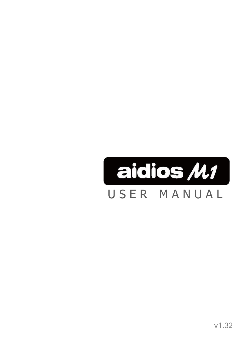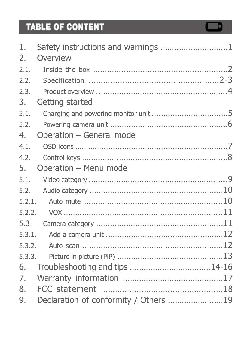# TABLE OF CONTENT

| 1.     |                                       |
|--------|---------------------------------------|
| 2.     | Overview                              |
| 2.1.   |                                       |
| 2.2.   |                                       |
| 2.3.   |                                       |
| 3.     | Getting started                       |
| 3.1.   |                                       |
| 3.2.   |                                       |
| 4.     | Operation - General mode              |
| 4.1.   |                                       |
| 4.2.   |                                       |
| 5.     | Operation - Menu mode                 |
| 5.1.   |                                       |
| 5.2.   |                                       |
| 5.2.1. |                                       |
| 5.2.2. |                                       |
| 5.3.   |                                       |
| 5.3.1. |                                       |
| 5.3.2. |                                       |
| 5.3.3. |                                       |
| 6.     | Troubleshooting and tips 14-16        |
| 7.     |                                       |
| 8.     |                                       |
| 9.     | Declaration of conformity / Others 19 |

 $\Box$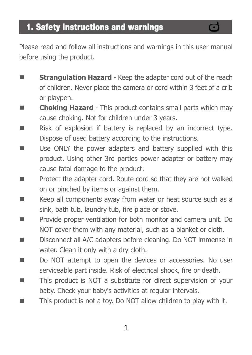Please read and follow all instructions and warnings in this user manual before using the product.

- Strangulation Hazard Keep the adapter cord out of the reach of children. Never place the camera or cord within 3 feet of a crib or playpen.
- **Choking Hazard** This product contains small parts which may cause choking. Not for children under 3 years.
- Risk of explosion if battery is replaced by an incorrect type. Dispose of used battery according to the instructions.
- Use ONLY the power adapters and battery supplied with this product. Using other 3rd parties power adapter or battery may cause fatal damage to the product.
- Protect the adapter cord. Route cord so that they are not walked on or pinched by items or against them.
- Keep all components away from water or heat source such as a sink, bath tub, laundry tub, fire place or stove.
- Provide proper ventilation for both monitor and camera unit. Do NOT cover them with any material, such as a blanket or cloth.
- Disconnect all A/C adapters before cleaning. Do NOT immense in water. Clean it only with a dry cloth.
- Do NOT attempt to open the devices or accessories. No user serviceable part inside. Risk of electrical shock, fire or death.
- This product is NOT a substitute for direct supervision of your baby. Check your baby's activities at regular intervals.
- This product is not a toy. Do NOT allow children to play with it.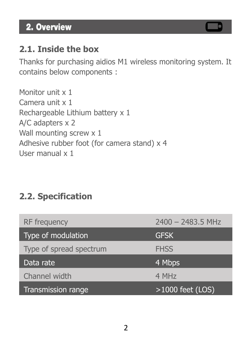## 2. Overview

### **2.1. Inside the box**

Thanks for purchasing aidios M1 wireless monitoring system. It contains below components :

Monitor unit x 1 Camera unit x 1 Rechargeable Lithium battery x 1 A/C adapters x 2 Wall mounting screw x 1 Adhesive rubber foot (for camera stand) x 4 User manual x 1

## **2.2. Specification**

| RF frequency            | $2400 - 2483.5$ MHz |
|-------------------------|---------------------|
| Type of modulation      | <b>GFSK</b>         |
| Type of spread spectrum | <b>FHSS</b>         |
|                         |                     |
| Data rate               | 4 Mbps              |
| Channel width           | 4 MH <sub>7</sub>   |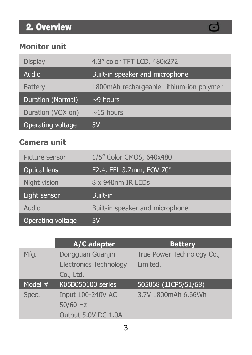# 2. Overview

## $\bf C$

#### **Monitor unit**

| <b>Display</b>     | 4.3" color TFT LCD, 480x272              |
|--------------------|------------------------------------------|
| Audio <sup>'</sup> | Built-in speaker and microphone          |
| <b>Battery</b>     | 1800mAh rechargeable Lithium-ion polymer |
| Duration (Normal)  | $\sim$ 9 hours                           |
| Duration (VOX on)  | $\sim$ 15 hours                          |
| Operating voltage  | 5V                                       |

#### **Camera unit**

| Picture sensor | 1/5" Color CMOS, 640x480        |
|----------------|---------------------------------|
| Optical lens   | F2.4, EFL 3.7mm, FOV 70°        |
| Night vision   | 8 x 940nm IR LEDs               |
|                |                                 |
| Light sensor   | Built-in                        |
| Audio          | Built-in speaker and microphone |

|           | A/C adapter                   | <b>Battery</b>             |
|-----------|-------------------------------|----------------------------|
| Mfg.      | Dongguan Guanjin              | True Power Technology Co., |
|           | <b>Electronics Technology</b> | Limited.                   |
|           | Co., Ltd.                     |                            |
| Model $#$ | K05B050100 series             | 505068 (1ICP5/51/68)       |
|           |                               |                            |
| Spec.     | Input 100-240V AC             | 3.7V 1800mAh 6.66Wh        |
|           | 50/60 Hz                      |                            |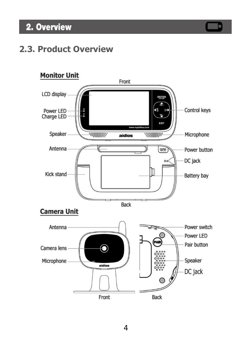## 2. Overview

### **2.3. Product Overview**

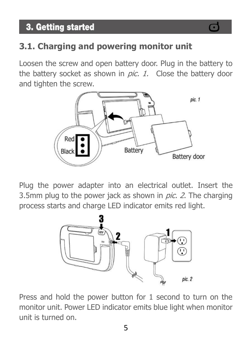## 3. Getting started

## **3.1. Charging and powering monitor unit**

Loosen the screw and open battery door. Plug in the battery to the battery socket as shown in *pic. 1*. Close the battery door and tighten the screw.



Plug the power adapter into an electrical outlet. Insert the 3.5mm plug to the power jack as shown in  $pic.$  2. The charging process starts and charge LED indicator emits red light.



Press and hold the power button for 1 second to turn on the monitor unit. Power LED indicator emits blue light when monitor unit is turned on.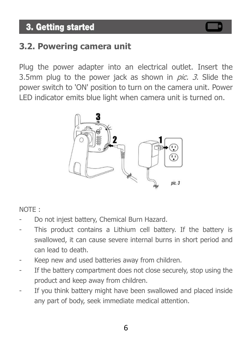## 3. Getting started

### **3.2. Powering camera unit**

Plug the power adapter into an electrical outlet. Insert the 3.5mm plug to the power jack as shown in *pic. 3*. Slide the power switch to 'ON' position to turn on the camera unit. Power LED indicator emits blue light when camera unit is turned on.



#### NOTE :

- Do not injest battery, Chemical Burn Hazard.
- This product contains a Lithium cell battery. If the battery is swallowed, it can cause severe internal burns in short period and can lead to death.
- Keep new and used batteries away from children.
- If the battery compartment does not close securely, stop using the product and keep away from children.
- If you think battery might have been swallowed and placed inside any part of body, seek immediate medical attention.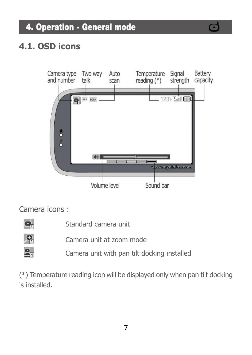## 4. Operation - General mode

### **4.1. OSD icons**



#### Camera icons :



Standard camera unit



Camera unit at zoom mode

Camera unit with pan tilt docking installed

(\*) Temperature reading icon will be displayed only when pan tilt docking is installed.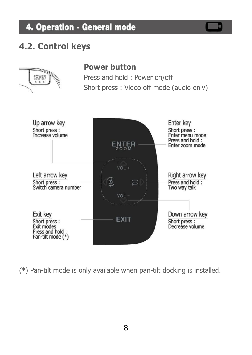## 4. Operation - General mode

#### **4.2. Control keys**



(\*) Pan-tilt mode is only available when pan-tilt docking is installed.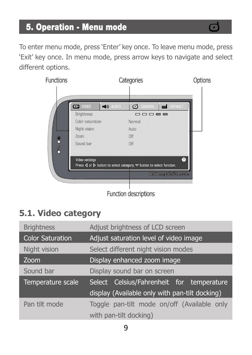To enter menu mode, press 'Enter' key once. To leave menu mode, press 'Exit' key once. In menu mode, press arrow keys to navigate and select different options.



### **5.1. Video category**

| <b>Brightness</b>       | Adjust brightness of LCD screen                |
|-------------------------|------------------------------------------------|
| <b>Color Saturation</b> | Adjust saturation level of video image         |
| Night vision            | Select different night vision modes            |
| Zoom                    | Display enhanced zoom image                    |
| Sound bar               | Display sound bar on screen                    |
| Temperature scale       | Select Celsius/Fahrenheit for temperature      |
|                         | display (Available only with pan-tilt docking) |
| Pan tilt mode           | Toggle pan-tilt mode on/off (Available only    |
|                         | with pan-tilt docking)                         |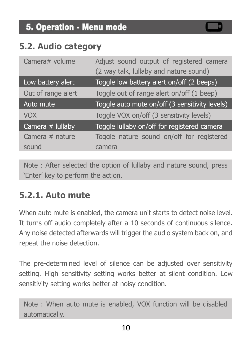### **5.2. Audio category**

| Camera# volume     | Adjust sound output of registered camera       |
|--------------------|------------------------------------------------|
|                    | (2 way talk, lullaby and nature sound)         |
| Low battery alert  | Toggle low battery alert on/off (2 beeps)      |
| Out of range alert | Toggle out of range alert on/off (1 beep)      |
| Auto mute          | Toggle auto mute on/off (3 sensitivity levels) |
| <b>VOX</b>         | Toggle VOX on/off (3 sensitivity levels)       |
| Camera # lullaby   | Toggle lullaby on/off for registered camera    |
| Camera $#$ nature  | Toggle nature sound on/off for registered      |
| sound              | camera                                         |

Note : After selected the option of lullaby and nature sound, press 'Enter' key to perform the action.

#### **5.2.1. Auto mute**

When auto mute is enabled, the camera unit starts to detect noise level. It turns off audio completely after a 10 seconds of continuous silence. Any noise detected afterwards will trigger the audio system back on, and repeat the noise detection.

The pre-determined level of silence can be adjusted over sensitivity setting. High sensitivity setting works better at silent condition. Low sensitivity setting works better at noisy condition.

Note : When auto mute is enabled, VOX function will be disabled automatically.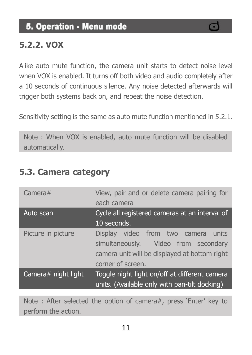#### **5.2.2. VOX**

Alike auto mute function, the camera unit starts to detect noise level when VOX is enabled. It turns off both video and audio completely after a 10 seconds of continuous silence. Any noise detected afterwards will trigger both systems back on, and repeat the noise detection.

Sensitivity setting is the same as auto mute function mentioned in 5.2.1.

Note : When VOX is enabled, auto mute function will be disabled automatically.

| Camera#             | View, pair and or delete camera pairing for<br>each camera                                                                                        |
|---------------------|---------------------------------------------------------------------------------------------------------------------------------------------------|
| Auto scan           | Cycle all registered cameras at an interval of<br>10 seconds.                                                                                     |
| Picture in picture  | Display video from two camera units<br>simultaneously. Video from secondary<br>camera unit will be displayed at bottom right<br>corner of screen. |
| Camera# night light | Toggle night light on/off at different camera<br>units. (Available only with pan-tilt docking)                                                    |

#### **5.3. Camera category**

Note : After selected the option of camera#, press 'Enter' key to perform the action.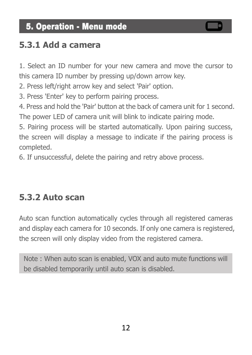#### **5.3.1 Add a camera**

1. Select an ID number for your new camera and move the cursor to this camera ID number by pressing up/down arrow key.

2. Press left/right arrow key and select 'Pair' option.

3. Press 'Enter' key to perform pairing process.

4. Press and hold the 'Pair' button at the back of camera unit for 1 second. The power LED of camera unit will blink to indicate pairing mode.

5. Pairing process will be started automatically. Upon pairing success, the screen will display a message to indicate if the pairing process is completed.

6. If unsuccessful, delete the pairing and retry above process.

#### **5.3.2 Auto scan**

Auto scan function automatically cycles through all registered cameras and display each camera for 10 seconds. If only one camera is registered, the screen will only display video from the registered camera.

Note : When auto scan is enabled, VOX and auto mute functions will be disabled temporarily until auto scan is disabled.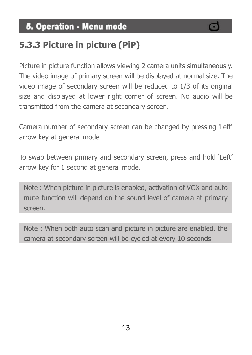## **5.3.3 Picture in picture (PiP)**

Picture in picture function allows viewing 2 camera units simultaneously. The video image of primary screen will be displayed at normal size. The video image of secondary screen will be reduced to 1/3 of its original size and displayed at lower right corner of screen. No audio will be transmitted from the camera at secondary screen.

Camera number of secondary screen can be changed by pressing 'Left' arrow key at general mode

To swap between primary and secondary screen, press and hold 'Left' arrow key for 1 second at general mode.

Note : When picture in picture is enabled, activation of VOX and auto mute function will depend on the sound level of camera at primary screen.

Note : When both auto scan and picture in picture are enabled, the camera at secondary screen will be cycled at every 10 seconds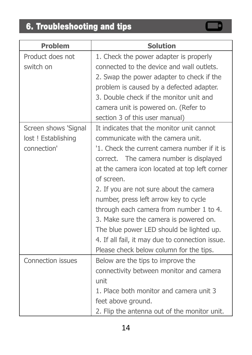# 6. Troubleshooting and tips

| <b>Problem</b>       | <b>Solution</b>                                 |
|----------------------|-------------------------------------------------|
| Product does not     | 1. Check the power adapter is properly          |
| switch on            | connected to the device and wall outlets.       |
|                      | 2. Swap the power adapter to check if the       |
|                      | problem is caused by a defected adapter.        |
|                      | 3. Double check if the monitor unit and         |
|                      | camera unit is powered on. (Refer to            |
|                      | section 3 of this user manual)                  |
| Screen shows 'Signal | It indicates that the monitor unit cannot       |
| lost ! Establishing  | communicate with the camera unit.               |
| connection'          | '1. Check the current camera number if it is    |
|                      | correct. The camera number is displayed         |
|                      | at the camera icon located at top left corner   |
|                      | of screen.                                      |
|                      | 2. If you are not sure about the camera         |
|                      | number, press left arrow key to cycle           |
|                      | through each camera from number 1 to 4.         |
|                      | 3. Make sure the camera is powered on.          |
|                      | The blue power LED should be lighted up.        |
|                      | 4. If all fail, it may due to connection issue. |
|                      | Please check below column for the tips.         |
| Connection issues    | Below are the tips to improve the               |
|                      | connectivity between monitor and camera         |
|                      | unit                                            |
|                      | 1. Place both monitor and camera unit 3         |
|                      | feet above ground.                              |
|                      | 2. Flip the antenna out of the monitor unit.    |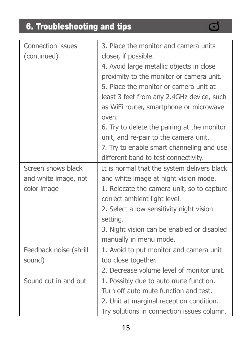# 6. Troubleshooting and tips

| <b>Connection issues</b><br>(continued)                   | 3. Place the monitor and camera units<br>closer, if possible.<br>4. Avoid large metallic objects in close<br>proximity to the monitor or camera unit.<br>5. Place the monitor or camera unit at<br>least 3 feet from any 2.4GHz device, such<br>as WiFi router, smartphone or microwave<br>oven.<br>6. Try to delete the pairing at the monitor<br>unit, and re-pair to the camera unit. |
|-----------------------------------------------------------|------------------------------------------------------------------------------------------------------------------------------------------------------------------------------------------------------------------------------------------------------------------------------------------------------------------------------------------------------------------------------------------|
|                                                           | 7. Try to enable smart channeling and use<br>different band to test connectivity.                                                                                                                                                                                                                                                                                                        |
| Screen shows black<br>and white image, not<br>color image | It is normal that the system delivers black<br>and white image at night vision mode.<br>1. Relocate the camera unit, so to capture<br>correct ambient light level.<br>2. Select a low sensitivity night vision<br>setting.<br>3. Night vision can be enabled or disabled<br>manually in menu mode.                                                                                       |
| Feedback noise (shrill<br>sound)                          | 1. Avoid to put monitor and camera unit<br>too close together.<br>2. Decrease volume level of monitor unit.                                                                                                                                                                                                                                                                              |
| Sound cut in and out                                      | 1. Possibly due to auto mute function.<br>Turn off auto mute function and test.<br>2. Unit at marginal reception condition.<br>Try solutions in connection issues column.                                                                                                                                                                                                                |

 $\mathbf{C}$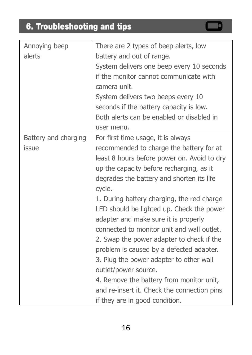# 6. Troubleshooting and tips

| Annoying beep        | There are 2 types of beep alerts, low       |
|----------------------|---------------------------------------------|
| alerts               | battery and out of range.                   |
|                      | System delivers one beep every 10 seconds   |
|                      | if the monitor cannot communicate with      |
|                      | camera unit.                                |
|                      | System delivers two beeps every 10          |
|                      | seconds if the battery capacity is low.     |
|                      | Both alerts can be enabled or disabled in   |
|                      | user menu.                                  |
| Battery and charging | For first time usage, it is always          |
| issue                | recommended to charge the battery for at    |
|                      | least 8 hours before power on. Avoid to dry |
|                      | up the capacity before recharging, as it    |
|                      | degrades the battery and shorten its life   |
|                      | cycle.                                      |
|                      | 1. During battery charging, the red charge  |
|                      | LED should be lighted up. Check the power   |
|                      | adapter and make sure it is properly        |
|                      | connected to monitor unit and wall outlet.  |
|                      | 2. Swap the power adapter to check if the   |
|                      | problem is caused by a defected adapter.    |
|                      | 3. Plug the power adapter to other wall     |
|                      | outlet/power source.                        |
|                      | 4. Remove the battery from monitor unit,    |
|                      | and re-insert it. Check the connection pins |
|                      | if they are in good condition.              |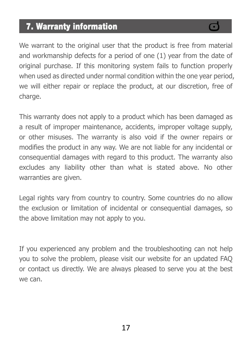## 7. Warranty information

We warrant to the original user that the product is free from material and workmanship defects for a period of one (1) year from the date of original purchase. If this monitoring system fails to function properly when used as directed under normal condition within the one year period, we will either repair or replace the product, at our discretion, free of charge.

This warranty does not apply to a product which has been damaged as a result of improper maintenance, accidents, improper voltage supply, or other misuses. The warranty is also void if the owner repairs or modifies the product in any way. We are not liable for any incidental or consequential damages with regard to this product. The warranty also excludes any liability other than what is stated above. No other warranties are given.

Legal rights vary from country to country. Some countries do no allow the exclusion or limitation of incidental or consequential damages, so the above limitation may not apply to you.

If you experienced any problem and the troubleshooting can not help you to solve the problem, please visit our website for an updated FAQ or contact us directly. We are always pleased to serve you at the best we can.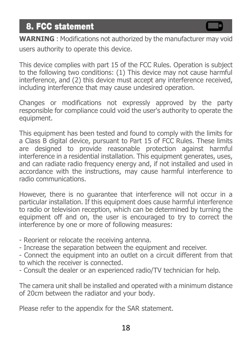## 8. FCC statement

**WARNING** : Modifications not authorized by the manufacturer may void users authority to operate this device.

This device complies with part 15 of the FCC Rules. Operation is subject to the following two conditions: (1) This device may not cause harmful interference, and (2) this device must accept any interference received, including interference that may cause undesired operation.

Changes or modifications not expressly approved by the party responsible for compliance could void the user's authority to operate the equipment.

This equipment has been tested and found to comply with the limits for a Class B digital device, pursuant to Part 15 of FCC Rules. These limits are designed to provide reasonable protection against harmful interference in a residential installation. This equipment generates, uses, and can radiate radio frequency energy and, if not installed and used in accordance with the instructions, may cause harmful interference to radio communications.

However, there is no guarantee that interference will not occur in a particular installation. If this equipment does cause harmful interference to radio or television reception, which can be determined by turning the equipment off and on, the user is encouraged to try to correct the interference by one or more of following measures:

- Reorient or relocate the receiving antenna.

- Increase the separation between the equipment and receiver.

- Connect the equipment into an outlet on a circuit different from that to which the receiver is connected.

- Consult the dealer or an experienced radio/TV technician for help.

The camera unit shall be installed and operated with a minimum distance of 20cm between the radiator and your body.

Please refer to the appendix for the SAR statement.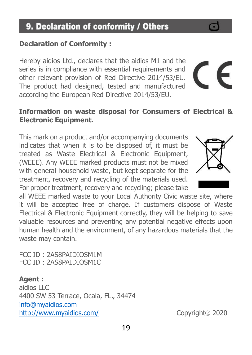#### Hereby aidios Ltd., declares that the aidios M1 and the series is in compliance with essential requirements and

other relevant provision of Red Directive 2014/53/EU. The product had designed, tested and manufactured according the European Red Directive 2014/53/EU.

#### **Information on waste disposal for Consumers of Electrical & Electronic Equipment.**

This mark on a product and/or accompanying documents indicates that when it is to be disposed of, it must be treated as Waste Electrical & Electronic Equipment, (WEEE). Any WEEE marked products must not be mixed with general household waste, but kept separate for the treatment, recovery and recycling of the materials used. For proper treatment, recovery and recycling; please take

all WEEE marked waste to your Local Authority Civic waste site, where it will be accepted free of charge. If customers dispose of Waste Electrical & Electronic Equipment correctly, they will be helping to save valuable resources and preventing any potential negative effects upon human health and the environment, of any hazardous materials that the waste may contain.

FCC ID : 2AS8PAIDIOSM1M FCC ID : 2AS8PAIDIOSM1C

**Agent :**  aidios LLC 4400 SW 53 Terrace, Ocala, FL., 34474 [info@myaidios.com](mailto:info@myaidios.com) <http://www.myaidios.com/>Copyright® 2020

**Declaration of Conformity :**



E